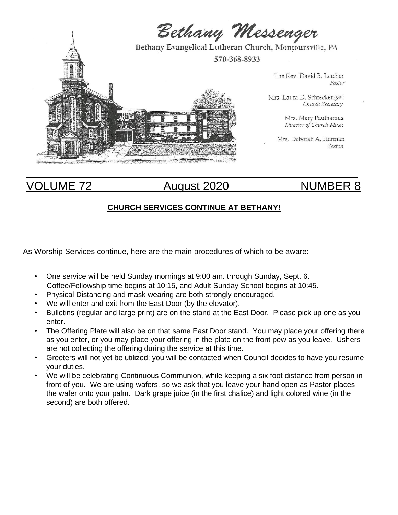

# VOLUME 72 August 2020 MUMBER 8

# **CHURCH SERVICES CONTINUE AT BETHANY!**

As Worship Services continue, here are the main procedures of which to be aware:

- One service will be held Sunday mornings at 9:00 am. through Sunday, Sept. 6. Coffee/Fellowship time begins at 10:15, and Adult Sunday School begins at 10:45.
- Physical Distancing and mask wearing are both strongly encouraged.
- We will enter and exit from the East Door (by the elevator).
- Bulletins (regular and large print) are on the stand at the East Door. Please pick up one as you enter.
- The Offering Plate will also be on that same East Door stand. You may place your offering there as you enter, or you may place your offering in the plate on the front pew as you leave. Ushers are not collecting the offering during the service at this time.
- Greeters will not yet be utilized; you will be contacted when Council decides to have you resume your duties.
- We will be celebrating Continuous Communion, while keeping a six foot distance from person in front of you. We are using wafers, so we ask that you leave your hand open as Pastor places the wafer onto your palm. Dark grape juice (in the first chalice) and light colored wine (in the second) are both offered.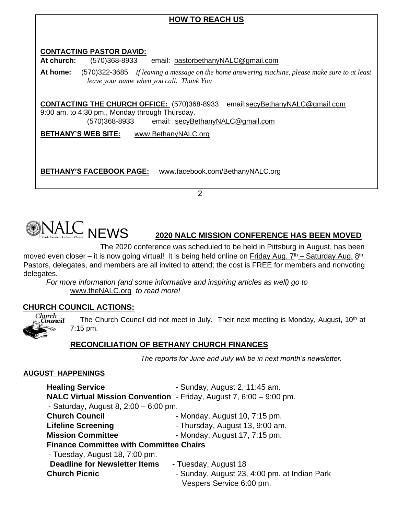# **HOW TO REACH US CONTACTING PASTOR DAVID: At church:** (570)368-8933 email: pastorbethanyNALC@gmail.com **At home:** (570)322-3685 *If leaving a message on the home answering machine, please make sure to at least leave your name when you call. Thank You* **CONTACTING THE CHURCH OFFICE:** (570)368-8933 email:secyBethanyNALC@gmail.com 9:00 am. to 4:30 pm., Monday through Thursday. (570)368-8933 email: secyBethanyNALC@gmail.com **BETHANY'S WEB SITE:** www.BethanyNALC.org **BETHANY'S FACEBOOK PAGE:** www.facebook.com/BethanyNALC.org

-2-



# NEWS **2020 NALC MISSION CONFERENCE HAS BEEN MOVED**

 The 2020 conference was scheduled to be held in Pittsburg in August, has been moved even closer – it is now going virtual! It is being held online on Friday Aug. 7<sup>th</sup> – Saturday Aug. 8<sup>th</sup>. Pastors, delegates, and members are all invited to attend; the cost is FREE for members and nonvoting delegates.

 *For more information (and some informative and inspiring articles as well) go to* www.theNALC.org *to read more!* 

# **CHURCH COUNCIL ACTIONS:**



The Church Council did not meet in July. Their next meeting is Monday, August,  $10<sup>th</sup>$  at 7:15 pm.

# **RECONCILIATION OF BETHANY CHURCH FINANCES**

*The reports for June and July will be in next month's newsletter.* 

# **AUGUST HAPPENINGS**

| <b>Healing Service</b>                         | - Sunday, August 2, 11:45 am.                                              |  |  |
|------------------------------------------------|----------------------------------------------------------------------------|--|--|
|                                                | <b>NALC Virtual Mission Convention</b> - Friday, August 7, 6:00 - 9:00 pm. |  |  |
| - Saturday, August 8, $2:00 - 6:00$ pm.        |                                                                            |  |  |
| <b>Church Council</b>                          | - Monday, August 10, 7:15 pm.                                              |  |  |
| <b>Lifeline Screening</b>                      | - Thursday, August 13, 9:00 am.                                            |  |  |
| <b>Mission Committee</b>                       | - Monday, August 17, 7:15 pm.                                              |  |  |
| <b>Finance Committee with Committee Chairs</b> |                                                                            |  |  |
| - Tuesday, August 18, 7:00 pm.                 |                                                                            |  |  |
| <b>Deadline for Newsletter Items</b>           | - Tuesday, August 18                                                       |  |  |
| <b>Church Picnic</b>                           | - Sunday, August 23, 4:00 pm. at Indian Park                               |  |  |
|                                                | Vespers Service 6:00 pm.                                                   |  |  |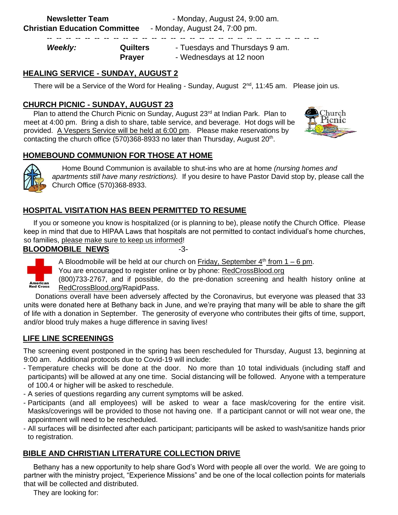| <b>Weekly:</b> | <b>Quilters</b> | - Tuesdays and Thursdays 9 am. |
|----------------|-----------------|--------------------------------|
|                | <b>Prayer</b>   | - Wednesdays at 12 noon        |

-- -- -- -- -- -- -- -- -- -- -- -- -- -- -- -- -- -- -- -- -- -- -- -- -- -- -- -- --

# **HEALING SERVICE - SUNDAY, AUGUST 2**

There will be a Service of the Word for Healing - Sunday, August  $2^{nd}$ , 11:45 am. Please join us.

# **CHURCH PICNIC - SUNDAY, AUGUST 23**

Plan to attend the Church Picnic on Sunday, August 23rd at Indian Park. Plan to meet at 4:00 pm. Bring a dish to share, table service, and beverage. Hot dogs will be provided. A Vespers Service will be held at 6:00 pm. Please make reservations by contacting the church office  $(570)368-8933$  no later than Thursday, August  $20<sup>th</sup>$ .



# **HOMEBOUND COMMUNION FOR THOSE AT HOME**



 Home Bound Communion is available to shut-ins who are at home *(nursing homes and apartments still have many restrictions).* If you desire to have Pastor David stop by, please call the Church Office (570)368-8933.

# **HOSPITAL VISITATION HAS BEEN PERMITTED TO RESUME**

 If you or someone you know is hospitalized (or is planning to be), please notify the Church Office. Please keep in mind that due to HIPAA Laws that hospitals are not permitted to contact individual's home churches, so families, please make sure to keep us informed!

## **BLOODMOBILE NEWS** -3-



A Bloodmobile will be held at our church on Friday, September  $4<sup>th</sup>$  from 1 – 6 pm.

You are encouraged to register online or by phone: RedCrossBlood.org

(800)733-2767, and if possible, do the pre-donation screening and health history online at RedCrossBlood.org/RapidPass.

 Donations overall have been adversely affected by the Coronavirus, but everyone was pleased that 33 units were donated here at Bethany back in June, and we're praying that many will be able to share the gift of life with a donation in September. The generosity of everyone who contributes their gifts of time, support, and/or blood truly makes a huge difference in saving lives!

# **LIFE LINE SCREENINGS**

The screening event postponed in the spring has been rescheduled for Thursday, August 13, beginning at 9:00 am. Additional protocols due to Covid-19 will include:

- Temperature checks will be done at the door. No more than 10 total individuals (including staff and participants) will be allowed at any one time. Social distancing will be followed. Anyone with a temperature of 100.4 or higher will be asked to reschedule.
- A series of questions regarding any current symptoms will be asked.
- Participants (and all employees) will be asked to wear a face mask/covering for the entire visit. Masks/coverings will be provided to those not having one. If a participant cannot or will not wear one, the appointment will need to be rescheduled.
- All surfaces will be disinfected after each participant; participants will be asked to wash/sanitize hands prior to registration.

# **BIBLE AND CHRISTIAN LITERATURE COLLECTION DRIVE**

 Bethany has a new opportunity to help share God's Word with people all over the world. We are going to partner with the ministry project, "Experience Missions" and be one of the local collection points for materials that will be collected and distributed.

They are looking for: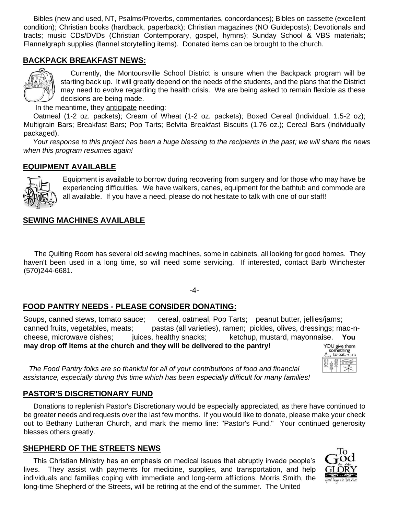Bibles (new and used, NT, Psalms/Proverbs, commentaries, concordances); Bibles on cassette (excellent condition); Christian books (hardback, paperback); Christian magazines (NO Guideposts); Devotionals and tracts; music CDs/DVDs (Christian Contemporary, gospel, hymns); Sunday School & VBS materials; Flannelgraph supplies (flannel storytelling items). Donated items can be brought to the church.

# **BACKPACK BREAKFAST NEWS:**



 Currently, the Montoursville School District is unsure when the Backpack program will be starting back up. It will greatly depend on the needs of the students, and the plans that the District may need to evolve regarding the health crisis. We are being asked to remain flexible as these decisions are being made.

In the meantime, they anticipate needing:

 Oatmeal (1-2 oz. packets); Cream of Wheat (1-2 oz. packets); Boxed Cereal (Individual, 1.5-2 oz); Multigrain Bars; Breakfast Bars; Pop Tarts; Belvita Breakfast Biscuits (1.76 oz.); Cereal Bars (individually packaged).

 *Your response to this project has been a huge blessing to the recipients in the past; we will share the news when this program resumes again!*

#### **EQUIPMENT AVAILABLE**



Equipment is available to borrow during recovering from surgery and for those who may have be experiencing difficulties. We have walkers, canes, equipment for the bathtub and commode are all available. If you have a need, please do not hesitate to talk with one of our staff!

#### **SEWING MACHINES AVAILABLE**

 The Quilting Room has several old sewing machines, some in cabinets, all looking for good homes. They haven't been used in a long time, so will need some servicing. If interested, contact Barb Winchester (570)244-6681.

-4-

#### **FOOD PANTRY NEEDS - PLEASE CONSIDER DONATING:**

Soups, canned stews, tomato sauce; cereal, oatmeal, Pop Tarts; peanut butter, jellies/jams; canned fruits, vegetables, meats; pastas (all varieties), ramen; pickles, olives, dressings; mac-ncheese, microwave dishes; juices, healthy snacks; ketchup, mustard, mayonnaise. **You may drop off items at the church and they will be delivered to the pantry!** 

YOU give them<br>something  $\overline{a}$  to eat. Mt 14:16

 *The Food Pantry folks are so thankful for all of your contributions of food and financial assistance, especially during this time which has been especially difficult for many families!* 

#### **PASTOR'S DISCRETIONARY FUND**

 Donations to replenish Pastor's Discretionary would be especially appreciated, as there have continued to be greater needs and requests over the last few months. If you would like to donate, please make your check out to Bethany Lutheran Church, and mark the memo line: "Pastor's Fund." Your continued generosity blesses others greatly.

#### **SHEPHERD OF THE STREETS NEWS**

 This Christian Ministry has an emphasis on medical issues that abruptly invade people's lives. They assist with payments for medicine, supplies, and transportation, and help individuals and families coping with immediate and long-term afflictions. Morris Smith, the long-time Shepherd of the Streets, will be retiring at the end of the summer. The United

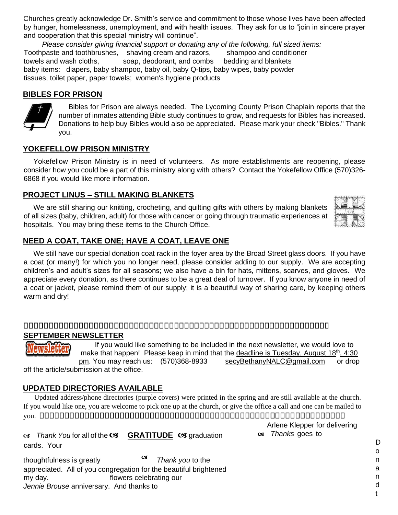Churches greatly acknowledge Dr. Smith's service and commitment to those whose lives have been affected by hunger, homelessness, unemployment, and with health issues. They ask for us to "join in sincere prayer and cooperation that this special ministry will continue".

 *Please consider giving financial support or donating any of the following, full sized items:* Toothpaste and toothbrushes, shaving cream and razors, shampoo and conditioner towels and wash cloths, soap, deodorant, and combs bedding and blankets baby items: diapers, baby shampoo, baby oil, baby Q-tips, baby wipes, baby powder tissues, toilet paper, paper towels; women's hygiene products

### **BIBLES FOR PRISON**



 Bibles for Prison are always needed. The Lycoming County Prison Chaplain reports that the number of inmates attending Bible study continues to grow, and requests for Bibles has increased. Donations to help buy Bibles would also be appreciated. Please mark your check "Bibles." Thank you.

#### **YOKEFELLOW PRISON MINISTRY**

 Yokefellow Prison Ministry is in need of volunteers. As more establishments are reopening, please consider how you could be a part of this ministry along with others? Contact the Yokefellow Office (570)326- 6868 if you would like more information.

## **PROJECT LINUS – STILL MAKING BLANKETS**

 We are still sharing our knitting, crocheting, and quilting gifts with others by making blankets of all sizes (baby, children, adult) for those with cancer or going through traumatic experiences at hospitals. You may bring these items to the Church Office.

# **NEED A COAT, TAKE ONE; HAVE A COAT, LEAVE ONE**

We still have our special donation coat rack in the foyer area by the Broad Street glass doors. If you have a coat (or many!) for which you no longer need, please consider adding to our supply. We are accepting children's and adult's sizes for all seasons; we also have a bin for hats, mittens, scarves, and gloves. We appreciate every donation, as there continues to be a great deal of turnover. If you know anyone in need of a coat or jacket, please remind them of our supply; it is a beautiful way of sharing care, by keeping others warm and dry!

## **SEPTEMBER NEWSLETTER**

 If you would like something to be included in the next newsletter, we would love to make that happen! Please keep in mind that the deadline is Tuesday, August  $18<sup>th</sup>$ , 4:30 pm. You may reach us: (570)368-8933 secyBethanyNALC@gmail.com or drop

off the article/submission at the office.

# **UPDATED DIRECTORIES AVAILABLE**

 Updated address/phone directories (purple covers) were printed in the spring and are still available at the church. If you would like one, you are welcome to pick one up at the church, or give the office a call and one can be mailed to you.

*G* Thank You for all of the **GRATITUDE G** graduation cards. Your

thoughtfulness is greatly *Thank you* to the appreciated. All of you congregation for the beautiful brightened my day. flowers celebrating our *Jennie Brouse* anniversary. And thanks to

Arlene Klepper for delivering *Thanks* goes to

> D o n a n d

> > t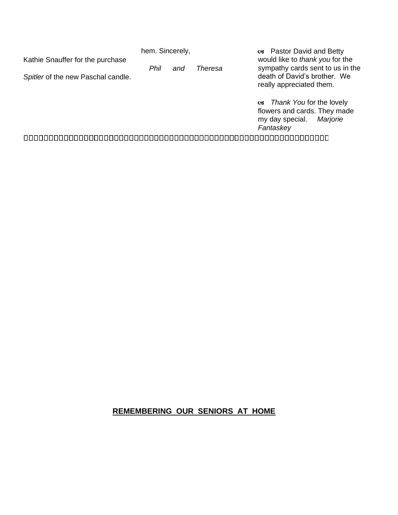Kathie Snauffer for the purchase

hem. Sincerely,

*Spitler* of the new Paschal candle.

 *Phil and Theresa* 

 Pastor David and Betty would like to *thank you* for the sympathy cards sent to us in the death of David's brother. We really appreciated them.

 *Thank You* for the lovely flowers and cards. They made my day special. *Marjorie Fantaskey*

# **REMEMBERING OUR SENIORS AT HOME**